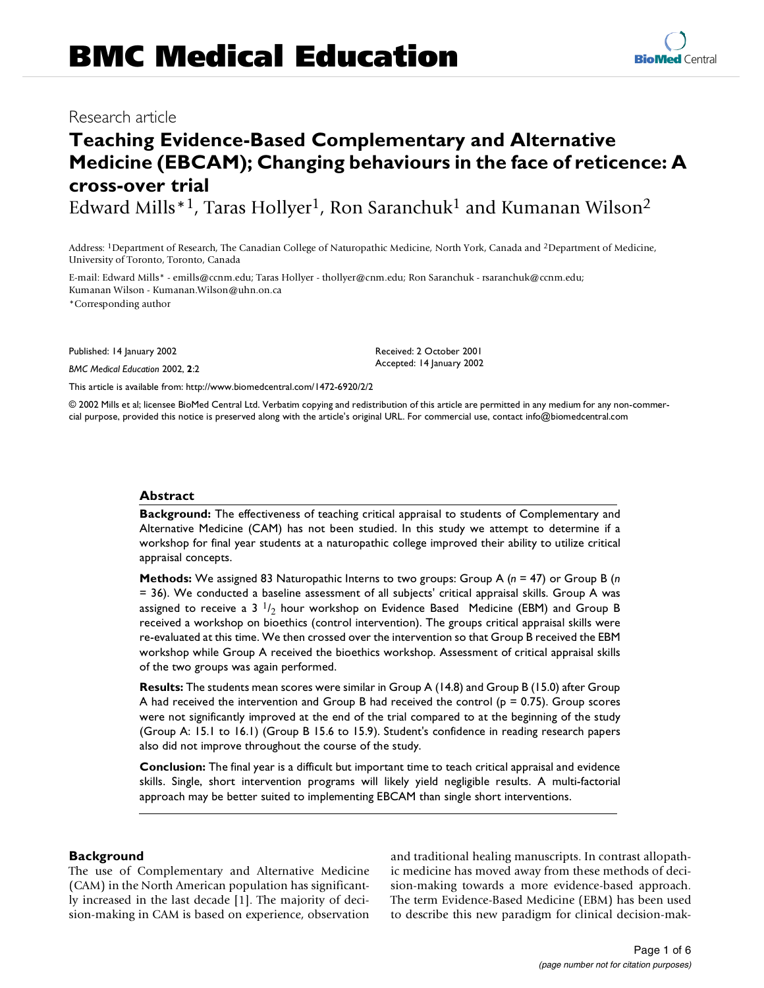# **Teaching Evidence-Based Complementary and Alternative Medicine (EBCAM); Changing behaviours in the face of reticence: A cross-over trial**

Edward Mills<sup>\*1</sup>, Taras Hollyer<sup>1</sup>, Ron Saranchuk<sup>1</sup> and Kumanan Wilson<sup>2</sup>

Address: 1Department of Research, The Canadian College of Naturopathic Medicine, North York, Canada and 2Department of Medicine, University of Toronto, Toronto, Canada

E-mail: Edward Mills\* - emills@ccnm.edu; Taras Hollyer - thollyer@cnm.edu; Ron Saranchuk - rsaranchuk@ccnm.edu; Kumanan Wilson - Kumanan.Wilson@uhn.on.ca \*Corresponding author

Published: 14 January 2002

*BMC Medical Education* 2002, **2**:2

[This article is available from: http://www.biomedcentral.com/1472-6920/2/2](http://www.biomedcentral.com/1472-6920/2/2)

© 2002 Mills et al; licensee BioMed Central Ltd. Verbatim copying and redistribution of this article are permitted in any medium for any non-commercial purpose, provided this notice is preserved along with the article's original URL. For commercial use, contact info@biomedcentral.com

#### **Abstract**

**Background:** The effectiveness of teaching critical appraisal to students of Complementary and Alternative Medicine (CAM) has not been studied. In this study we attempt to determine if a workshop for final year students at a naturopathic college improved their ability to utilize critical appraisal concepts.

**Methods:** We assigned 83 Naturopathic Interns to two groups: Group A (*n* = 47) or Group B (*n* = 36). We conducted a baseline assessment of all subjects' critical appraisal skills. Group A was assigned to receive a 3  $1/2$  hour workshop on Evidence Based Medicine (EBM) and Group B received a workshop on bioethics (control intervention). The groups critical appraisal skills were re-evaluated at this time. We then crossed over the intervention so that Group B received the EBM workshop while Group A received the bioethics workshop. Assessment of critical appraisal skills of the two groups was again performed.

**Results:** The students mean scores were similar in Group A (14.8) and Group B (15.0) after Group A had received the intervention and Group B had received the control ( $p = 0.75$ ). Group scores were not significantly improved at the end of the trial compared to at the beginning of the study (Group A: 15.1 to 16.1) (Group B 15.6 to 15.9). Student's confidence in reading research papers also did not improve throughout the course of the study.

**Conclusion:** The final year is a difficult but important time to teach critical appraisal and evidence skills. Single, short intervention programs will likely yield negligible results. A multi-factorial approach may be better suited to implementing EBCAM than single short interventions.

#### **Background**

The use of Complementary and Alternative Medicine (CAM) in the North American population has significantly increased in the last decade [\[1\]](#page-5-0). The majority of decision-making in CAM is based on experience, observation and traditional healing manuscripts. In contrast allopathic medicine has moved away from these methods of decision-making towards a more evidence-based approach. The term Evidence-Based Medicine (EBM) has been used to describe this new paradigm for clinical decision-mak-



Received: 2 October 2001 Accepted: 14 January 2002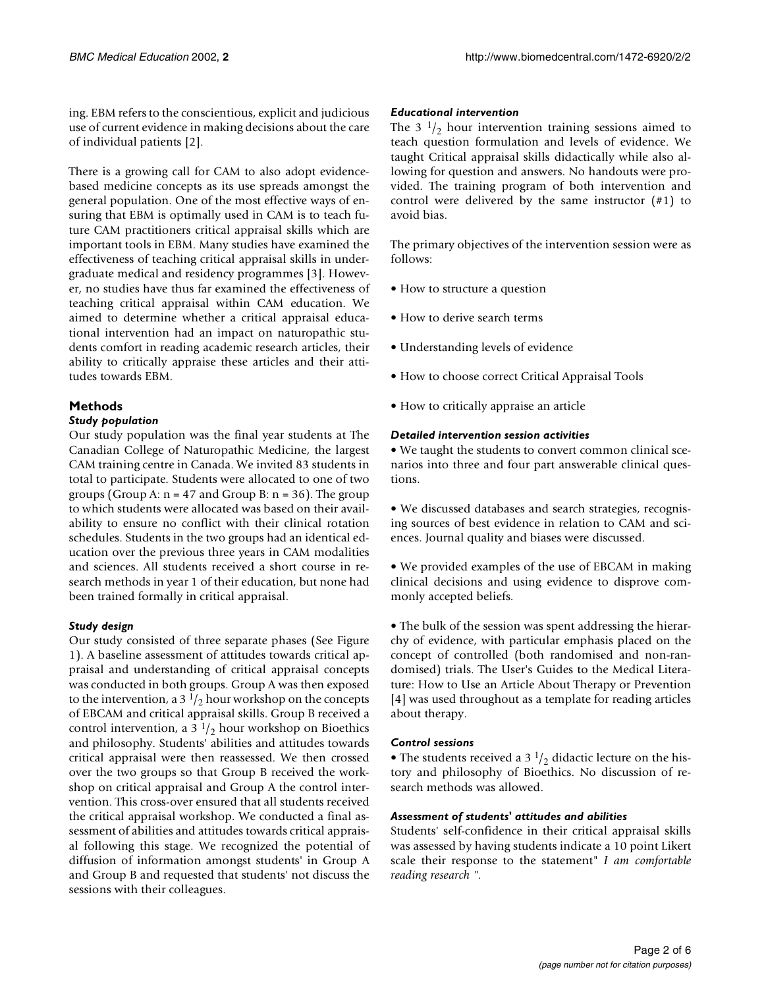ing. EBM refers to the conscientious, explicit and judicious use of current evidence in making decisions about the care of individual patients [\[2](#page-5-1)].

There is a growing call for CAM to also adopt evidencebased medicine concepts as its use spreads amongst the general population. One of the most effective ways of ensuring that EBM is optimally used in CAM is to teach future CAM practitioners critical appraisal skills which are important tools in EBM. Many studies have examined the effectiveness of teaching critical appraisal skills in undergraduate medical and residency programmes [\[3\]](#page-5-2). However, no studies have thus far examined the effectiveness of teaching critical appraisal within CAM education. We aimed to determine whether a critical appraisal educational intervention had an impact on naturopathic students comfort in reading academic research articles, their ability to critically appraise these articles and their attitudes towards EBM.

## **Methods**

#### *Study population*

Our study population was the final year students at The Canadian College of Naturopathic Medicine, the largest CAM training centre in Canada. We invited 83 students in total to participate. Students were allocated to one of two groups (Group A:  $n = 47$  and Group B:  $n = 36$ ). The group to which students were allocated was based on their availability to ensure no conflict with their clinical rotation schedules. Students in the two groups had an identical education over the previous three years in CAM modalities and sciences. All students received a short course in research methods in year 1 of their education, but none had been trained formally in critical appraisal.

## *Study design*

Our study consisted of three separate phases (See Figure [1](#page-2-0)). A baseline assessment of attitudes towards critical appraisal and understanding of critical appraisal concepts was conducted in both groups. Group A was then exposed to the intervention, a 3 $1/2$  hour workshop on the concepts of EBCAM and critical appraisal skills. Group B received a control intervention, a 3  $\frac{1}{2}$  hour workshop on Bioethics and philosophy. Students' abilities and attitudes towards critical appraisal were then reassessed. We then crossed over the two groups so that Group B received the workshop on critical appraisal and Group A the control intervention. This cross-over ensured that all students received the critical appraisal workshop. We conducted a final assessment of abilities and attitudes towards critical appraisal following this stage. We recognized the potential of diffusion of information amongst students' in Group A and Group B and requested that students' not discuss the sessions with their colleagues.

#### *Educational intervention*

The 3  $\frac{1}{2}$  hour intervention training sessions aimed to teach question formulation and levels of evidence. We taught Critical appraisal skills didactically while also allowing for question and answers. No handouts were provided. The training program of both intervention and control were delivered by the same instructor (#1) to avoid bias.

The primary objectives of the intervention session were as follows:

- How to structure a question
- How to derive search terms
- Understanding levels of evidence
- How to choose correct Critical Appraisal Tools
- How to critically appraise an article

# *Detailed intervention session activities*

• We taught the students to convert common clinical scenarios into three and four part answerable clinical questions.

• We discussed databases and search strategies, recognising sources of best evidence in relation to CAM and sciences. Journal quality and biases were discussed.

• We provided examples of the use of EBCAM in making clinical decisions and using evidence to disprove commonly accepted beliefs.

• The bulk of the session was spent addressing the hierarchy of evidence, with particular emphasis placed on the concept of controlled (both randomised and non-randomised) trials. The User's Guides to the Medical Literature: How to Use an Article About Therapy or Prevention [[4](#page-5-3)] was used throughout as a template for reading articles about therapy.

# *Control sessions*

• The students received a 3  $1/2$  didactic lecture on the history and philosophy of Bioethics. No discussion of research methods was allowed.

# *Assessment of students' attitudes and abilities*

Students' self-confidence in their critical appraisal skills was assessed by having students indicate a 10 point Likert scale their response to the statement" *I am comfortable reading research ".*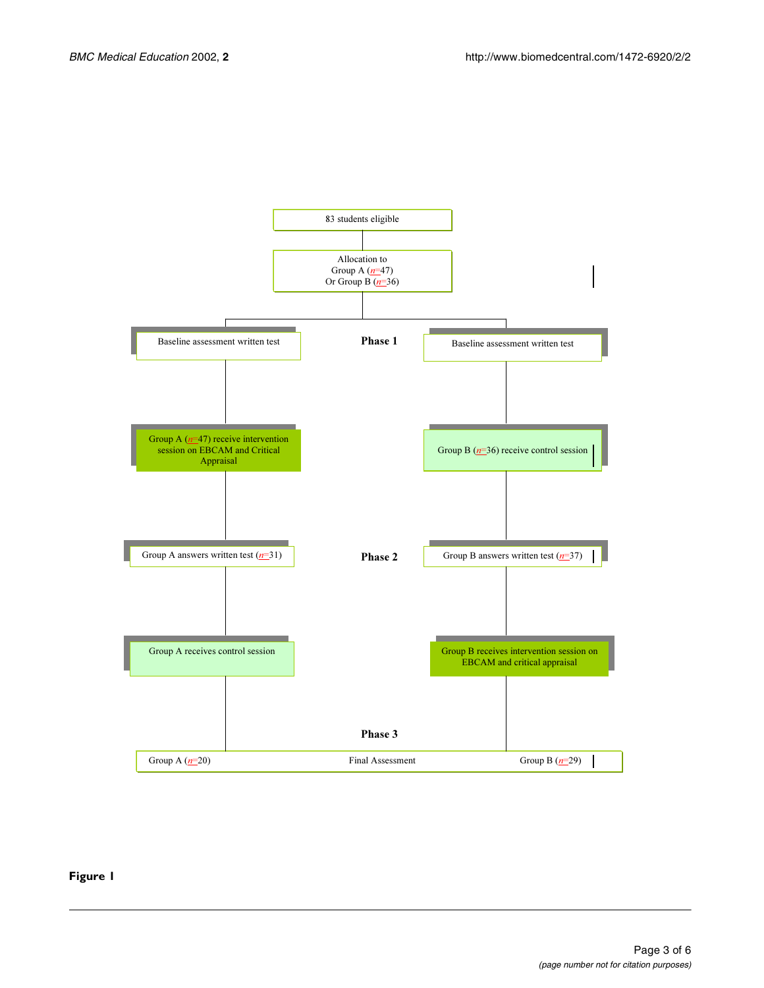

### <span id="page-2-0"></span>**Figure 1**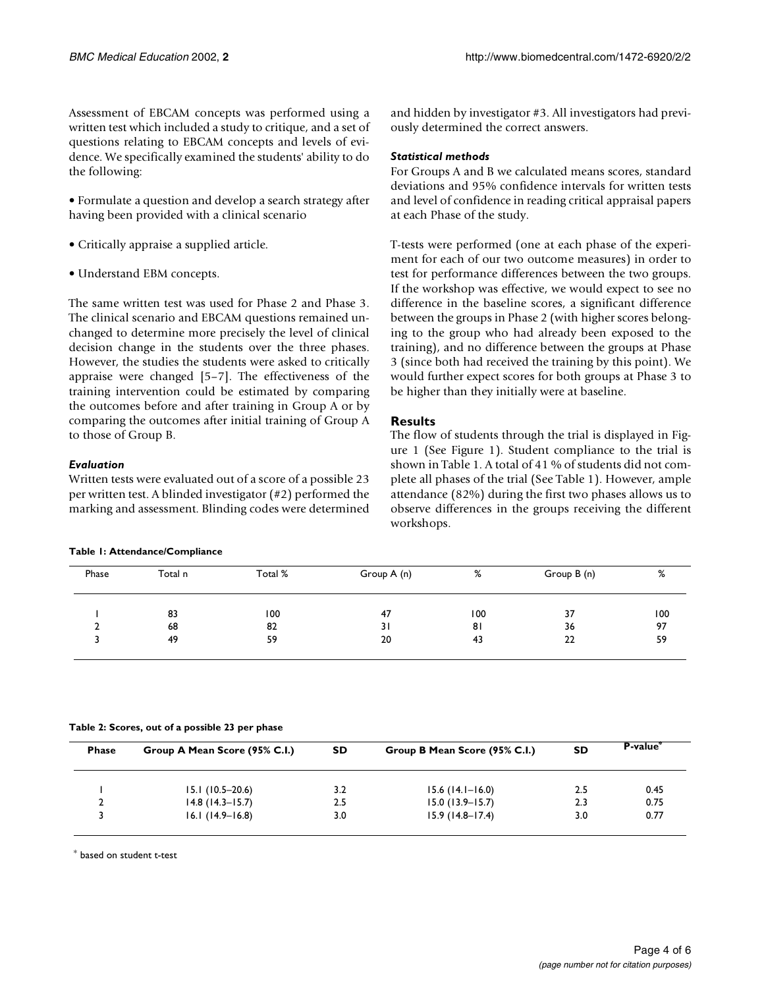Assessment of EBCAM concepts was performed using a written test which included a study to critique, and a set of questions relating to EBCAM concepts and levels of evidence. We specifically examined the students' ability to do the following:

• Formulate a question and develop a search strategy after having been provided with a clinical scenario

- Critically appraise a supplied article.
- Understand EBM concepts.

The same written test was used for Phase 2 and Phase 3. The clinical scenario and EBCAM questions remained unchanged to determine more precisely the level of clinical decision change in the students over the three phases. However, the studies the students were asked to critically appraise were changed [[5](#page-5-4)[–7\]](#page-5-5). The effectiveness of the training intervention could be estimated by comparing the outcomes before and after training in Group A or by comparing the outcomes after initial training of Group A to those of Group B.

## *Evaluation*

Written tests were evaluated out of a score of a possible 23 per written test. A blinded investigator (#2) performed the marking and assessment. Blinding codes were determined

#### **Table 1: Attendance/Compliance**

and hidden by investigator #3. All investigators had previously determined the correct answers.

#### *Statistical methods*

For Groups A and B we calculated means scores, standard deviations and 95% confidence intervals for written tests and level of confidence in reading critical appraisal papers at each Phase of the study.

T-tests were performed (one at each phase of the experiment for each of our two outcome measures) in order to test for performance differences between the two groups. If the workshop was effective, we would expect to see no difference in the baseline scores, a significant difference between the groups in Phase 2 (with higher scores belonging to the group who had already been exposed to the training), and no difference between the groups at Phase 3 (since both had received the training by this point). We would further expect scores for both groups at Phase 3 to be higher than they initially were at baseline.

## **Results**

<span id="page-3-0"></span>The flow of students through the trial is displayed in Figure [1](#page-2-0) (See Figure [1](#page-2-0)). Student compliance to the trial is shown in Table [1](#page-3-0). A total of 41 % of students did not complete all phases of the trial (See Table [1](#page-3-0)). However, ample attendance (82%) during the first two phases allows us to observe differences in the groups receiving the different workshops.

| Phase | Total n | Total % | Group A (n) | %   | Group B (n) | %   |
|-------|---------|---------|-------------|-----|-------------|-----|
|       | 83      | 100     | 47          | 100 | 37          | 100 |
|       | 68      | 82      | 31          | 81  | 36          | 97  |
|       | 49      | 59      | 20          | 43  | 22          | 59  |

**Table 2: Scores, out of a possible 23 per phase**

| <b>Phase</b> | Group A Mean Score (95% C.I.) | <b>SD</b> | Group B Mean Score (95% C.I.) | <b>SD</b> | P-value* |  |
|--------------|-------------------------------|-----------|-------------------------------|-----------|----------|--|
|              | $15.1(10.5-20.6)$             | 3.2       | $15.6(14.1 - 16.0)$           | 2.5       | 0.45     |  |
|              | $14.8$ (14.3–15.7)            | 2.5       | $15.0(13.9 - 15.7)$           | 2.3       | 0.75     |  |
|              | $16.1(14.9-16.8)$             | 3.0       | $15.9(14.8-17.4)$             | 3.0       | 0.77     |  |

\* based on student t-test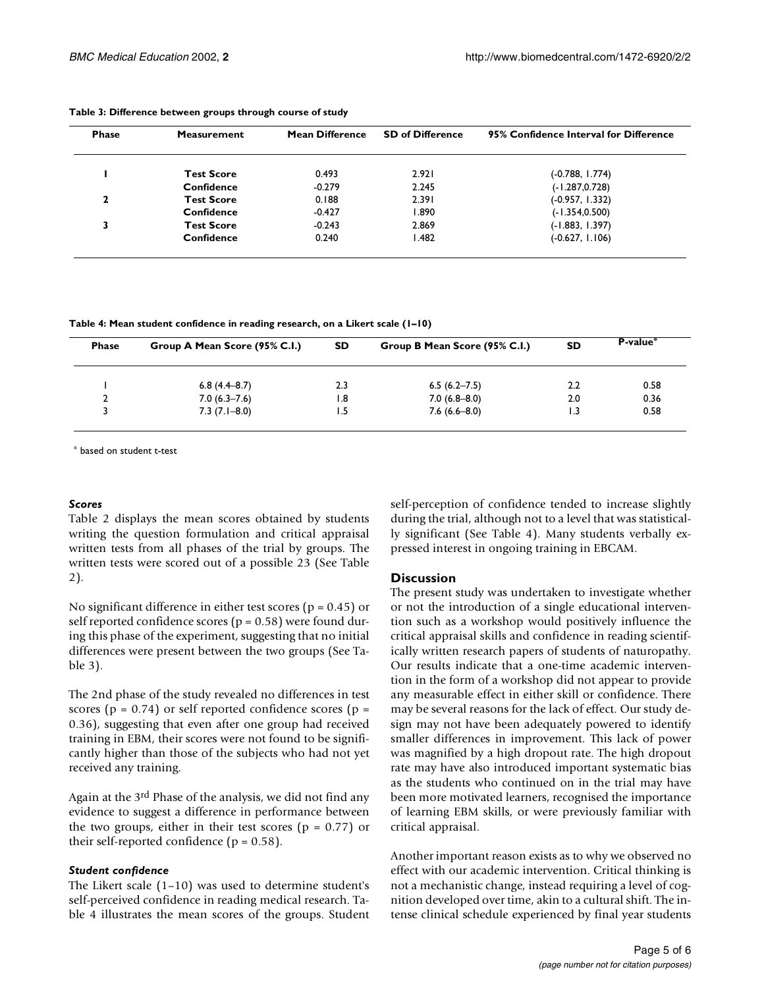| <b>Phase</b> | <b>Measurement</b> | <b>Mean Difference</b> | <b>SD of Difference</b> | 95% Confidence Interval for Difference |  |
|--------------|--------------------|------------------------|-------------------------|----------------------------------------|--|
|              | <b>Test Score</b>  | 0.493                  | 2.921                   | (-0.788, I.774)                        |  |
|              | Confidence         | $-0.279$               | 2.245                   | $(-1.287, 0.728)$                      |  |
| 2            | <b>Test Score</b>  | 0.188                  | 2.391                   | (-0.957, 1.332)                        |  |
|              | Confidence         | $-0.427$               | 1.890                   | $(-1.354, 0.500)$                      |  |
|              | <b>Test Score</b>  | $-0.243$               | 2.869                   | $(-1.883, 1.397)$                      |  |
|              | Confidence         | 0.240                  | l .482                  | $(-0.627, 1.106)$                      |  |

**Table 3: Difference between groups through course of study**

**Table 4: Mean student confidence in reading research, on a Likert scale (1–10)**

| <b>Phase</b> | Group A Mean Score (95% C.I.) | <b>SD</b> | Group B Mean Score (95% C.I.) | <b>SD</b> | P-value <sup>*</sup> |  |
|--------------|-------------------------------|-----------|-------------------------------|-----------|----------------------|--|
|              | $6.8(4.4-8.7)$                | 2.3       | $6.5(6.2 - 7.5)$              | 2.2       | 0.58                 |  |
|              | $7.0(6.3 - 7.6)$              | 1.8       | $7.0(6.8 - 8.0)$              | 2.0       | 0.36                 |  |
|              | $7.3(7.1 - 8.0)$              | ۱.5       | $7.6(6.6-8.0)$                |           | 0.58                 |  |

\* based on student t-test

#### *Scores*

Table [2](#page-3-0) displays the mean scores obtained by students writing the question formulation and critical appraisal written tests from all phases of the trial by groups. The written tests were scored out of a possible 23 (See Table [2](#page-3-0)).

No significant difference in either test scores ( $p = 0.45$ ) or self reported confidence scores ( $p = 0.58$ ) were found during this phase of the experiment, suggesting that no initial differences were present between the two groups (See Table [3](#page-3-0)).

The 2nd phase of the study revealed no differences in test scores ( $p = 0.74$ ) or self reported confidence scores ( $p =$ 0.36), suggesting that even after one group had received training in EBM, their scores were not found to be significantly higher than those of the subjects who had not yet received any training.

Again at the 3rd Phase of the analysis, we did not find any evidence to suggest a difference in performance between the two groups, either in their test scores ( $p = 0.77$ ) or their self-reported confidence ( $p = 0.58$ ).

#### *Student confidence*

The Likert scale (1–10) was used to determine student's self-perceived confidence in reading medical research. Table [4](#page-3-0) illustrates the mean scores of the groups. Student self-perception of confidence tended to increase slightly during the trial, although not to a level that was statistically significant (See Table [4\)](#page-3-0). Many students verbally expressed interest in ongoing training in EBCAM.

#### **Discussion**

The present study was undertaken to investigate whether or not the introduction of a single educational intervention such as a workshop would positively influence the critical appraisal skills and confidence in reading scientifically written research papers of students of naturopathy. Our results indicate that a one-time academic intervention in the form of a workshop did not appear to provide any measurable effect in either skill or confidence. There may be several reasons for the lack of effect. Our study design may not have been adequately powered to identify smaller differences in improvement. This lack of power was magnified by a high dropout rate. The high dropout rate may have also introduced important systematic bias as the students who continued on in the trial may have been more motivated learners, recognised the importance of learning EBM skills, or were previously familiar with critical appraisal.

Another important reason exists as to why we observed no effect with our academic intervention. Critical thinking is not a mechanistic change, instead requiring a level of cognition developed over time, akin to a cultural shift. The intense clinical schedule experienced by final year students